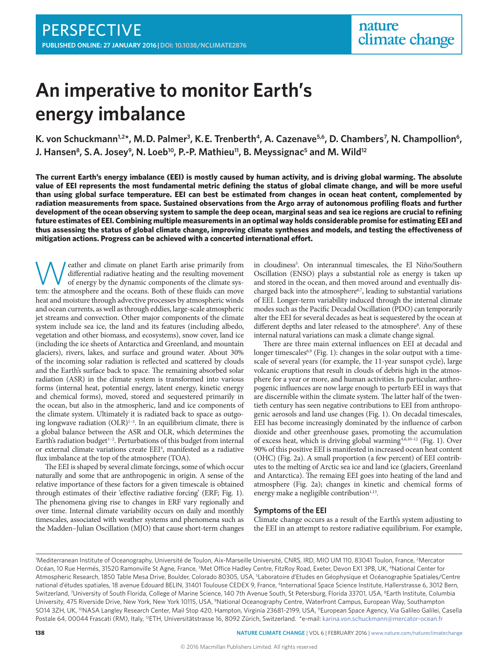# **An imperative to monitor Earth's energy imbalance**

K. von Schuckmann<sup>1,2\*</sup>, M.D. Palmer<sup>3</sup>, K.E. Trenberth<sup>4</sup>, A. Cazenave<sup>5,6</sup>, D. Chambers<sup>7</sup>, N. Champollion<sup>6</sup>, **J. Hansen8, S. A. Josey9 , N. Loeb10, P.-P. Mathieu11, B. Meyssignac5 and M. Wild12**

**The current Earth's energy imbalance (EEI) is mostly caused by human activity, and is driving global warming. The absolute value of EEI represents the most fundamental metric defining the status of global climate change, and will be more useful than using global surface temperature. EEI can best be estimated from changes in ocean heat content, complemented by radiation measurements from space. Sustained observations from the Argo array of autonomous profiling floats and further development of the ocean observing system to sample the deep ocean, marginal seas and sea ice regions are crucial to refining future estimates of EEI. Combining multiple measurements in an optimal way holds considerable promise for estimating EEI and thus assessing the status of global climate change, improving climate syntheses and models, and testing the effectiveness of mitigation actions. Progress can be achieved with a concerted international effort.**

Weather and climate on planet Earth arise primarily from<br>differential radiative heating and the resulting movement<br>of energy by the dynamic components of the climate sys-<br>tem: the atmosphere and the oceans. Both of these f differential radiative heating and the resulting movement of energy by the dynamic components of the climate system: the atmosphere and the oceans. Both of these fluids can move heat and moisture through advective processes by atmospheric winds and ocean currents, as well as through eddies, large-scale atmospheric jet streams and convection. Other major components of the climate system include sea ice, the land and its features (including albedo, vegetation and other biomass, and ecosystems), snow cover, land ice (including the ice sheets of Antarctica and Greenland, and mountain glaciers), rivers, lakes, and surface and ground water. About 30% of the incoming solar radiation is reflected and scattered by clouds and the Earth's surface back to space. The remaining absorbed solar radiation (ASR) in the climate system is transformed into various forms (internal heat, potential energy, latent energy, kinetic energy and chemical forms), moved, stored and sequestered primarily in the ocean, but also in the atmospheric, land and ice components of the climate system. Ultimately it is radiated back to space as outgoing longwave radiation  $(OLR)^{1-3}$ . In an equilibrium climate, there is a global balance between the ASR and OLR, which determines the Earth's radiation budget<sup>1-2</sup>. Perturbations of this budget from internal or external climate variations create EEI<sup>4</sup>, manifested as a radiative flux imbalance at the top of the atmosphere (TOA).

The EEI is shaped by several climate forcings, some of which occur naturally and some that are anthropogenic in origin. A sense of the relative importance of these factors for a given timescale is obtained through estimates of their 'effective radiative forcing' (ERF; Fig. 1). The phenomena giving rise to changes in ERF vary regionally and over time. Internal climate variability occurs on daily and monthly timescales, associated with weather systems and phenomena such as the Madden–Julian Oscillation (MJO) that cause short-term changes

in cloudiness<sup>5</sup>. On interannual timescales, the El Niño/Southern Oscillation (ENSO) plays a substantial role as energy is taken up and stored in the ocean, and then moved around and eventually discharged back into the atmosphere<sup>67</sup>, leading to substantial variations of EEI. Longer-term variability induced through the internal climate modes such as the Pacific Decadal Oscillation (PDO) can temporarily alter the EEI for several decades as heat is sequestered by the ocean at different depths and later released to the atmosphere<sup>8</sup>. Any of these internal natural variations can mask a climate change signal.

There are three main external influences on EEI at decadal and longer timescales<sup>6,9</sup> (Fig. 1): changes in the solar output with a timescale of several years (for example, the 11-year sunspot cycle), large volcanic eruptions that result in clouds of debris high in the atmosphere for a year or more, and human activities. In particular, anthropogenic influences are now large enough to perturb EEI in ways that are discernible within the climate system. The latter half of the twentieth century has seen negative contributions to EEI from anthropogenic aerosols and land use changes (Fig. 1). On decadal timescales, EEI has become increasingly dominated by the influence of carbon dioxide and other greenhouse gases, promoting the accumulation of excess heat, which is driving global warming $4,6,10-12$  (Fig. 1). Over 90% of this positive EEI is manifested in increased ocean heat content (OHC) (Fig. 2a). A small proportion (a few percent) of EEI contributes to the melting of Arctic sea ice and land ice (glaciers, Greenland and Antarctica). The remaing EEI goes into heating of the land and atmosphere (Fig. 2a); changes in kinetic and chemical forms of energy make a negligible contribution<sup>1,13</sup>.

### **Symptoms of the EEI**

Climate change occurs as a result of the Earth's system adjusting to the EEI in an attempt to restore radiative equilibrium. For example,

<sup>&</sup>lt;sup>1</sup>Mediterranean Institute of Oceanography, Université de Toulon, Aix-Marseille Université, CNRS, IRD, MIO UM 110, 83041 Toulon, France, <sup>2</sup>Mercator Océan, 10 Rue Hermés, 31520 Ramonville St Agne, France, <sup>3</sup>Met Office Hadley Centre, FitzRoy Road, Exeter, Devon EX1 3PB, UK, <sup>4</sup>National Center for Atmospheric Research, 1850 Table Mesa Drive, Boulder, Colorado 80305, USA, <sup>5</sup>Laboratoire d'Etudes en Géophysique et Océanographie Spatiales/Centre national d'études spatiales, 18 avenue Edouard BELIN, 31401 Toulouse CEDEX 9, France, <sup>6</sup>International Space Science Institute, Hallerstrasse 6, 3012 Bern, Switzerland, 7 University of South Florida, College of Marine Science, 140 7th Avenue South, St Petersburg, Florida 33701, USA, 8Earth Institute, Columbia University, 475 Riverside Drive, New York, New York 10115, USA, 9National Oceanography Centre, Waterfront Campus, European Way, Southampton SO14 3ZH, UK, <sup>10</sup>NASA Langley Research Center, Mail Stop 420, Hampton, Virginia 23681-2199, USA, <sup>11</sup>European Space Agency, Via Galileo Galilei, Casella Postale 64, 00044 Frascati (RM), Italy, <sup>12</sup>ETH, Universitätstrasse 16, 8092 Zürich, Switzerland. \*e-mail: [karina.von.schuckmann@mercator-ocean.fr](mailto:karina.von.schuckmann@mercator-ocean.fr)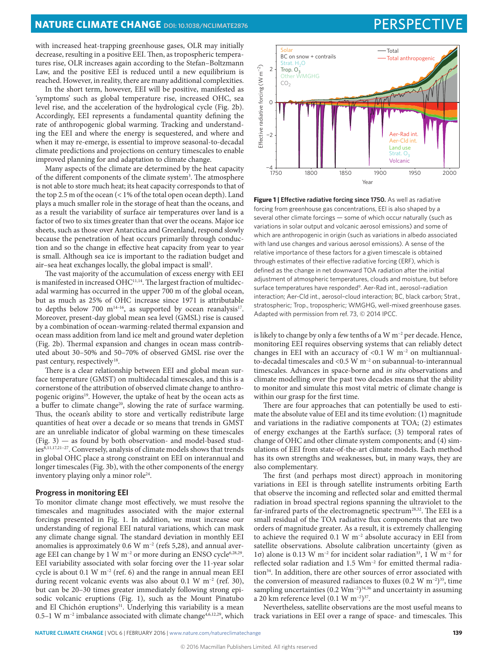with increased heat-trapping greenhouse gases, OLR may initially decrease, resulting in a positive EEI. Then, as tropospheric temperatures rise, OLR increases again according to the Stefan–Boltzmann Law, and the positive EEI is reduced until a new equilibrium is reached. However, in reality, there are many additional complexities.

In the short term, however, EEI will be positive, manifested as 'symptoms' such as global temperature rise, increased OHC, sea level rise, and the acceleration of the hydrological cycle (Fig. 2b). Accordingly, EEI represents a fundamental quantity defining the rate of anthropogenic global warming. Tracking and understanding the EEI and where the energy is sequestered, and where and when it may re-emerge, is essential to improve seasonal-to-decadal climate predictions and projections on century timescales to enable improved planning for and adaptation to climate change.

Many aspects of the climate are determined by the heat capacity of the different components of the climate system<sup>3</sup>. The atmosphere is not able to store much heat; its heat capacity corresponds to that of the top 2.5 m of the ocean (< 1% of the total open ocean depth). Land plays a much smaller role in the storage of heat than the oceans, and as a result the variability of surface air temperatures over land is a factor of two to six times greater than that over the oceans. Major ice sheets, such as those over Antarctica and Greenland, respond slowly because the penetration of heat occurs primarily through conduction and so the change in effective heat capacity from year to year is small. Although sea ice is important to the radiation budget and air–sea heat exchanges locally, the global impact is small<sup>3</sup>.

The vast majority of the accumulation of excess energy with EEI is manifested in increased OHC $^{11,14}$ . The largest fraction of multidecadal warming has occurred in the upper 700 m of the global ocean, but as much as 25% of OHC increase since 1971 is attributable to depths below 700  $m^{14-16}$ , as supported by ocean reanalysis<sup>17</sup>. Moreover, present-day global mean sea level (GMSL) rise is caused by a combination of ocean-warming-related thermal expansion and ocean mass addition from land ice melt and ground water depletion (Fig. 2b). Thermal expansion and changes in ocean mass contributed about 30–50% and 50–70% of observed GMSL rise over the past century, respectively<sup>18</sup>.

There is a clear relationship between EEI and global mean surface temperature (GMST) on multidecadal timescales, and this is a cornerstone of the attribution of observed climate change to anthropogenic origins<sup>19</sup>. However, the uptake of heat by the ocean acts as a buffer to climate change<sup>20</sup>, slowing the rate of surface warming. Thus, the ocean's ability to store and vertically redistribute large quantities of heat over a decade or so means that trends in GMST are an unreliable indicator of global warming on these timescales (Fig. 3) — as found by both observation- and model-based studies<sup>8,11,17,21-27</sup>. Conversely, analysis of climate models shows that trends in global OHC place a strong constraint on EEI on interannual and longer timescales (Fig. 3b), with the other components of the energy inventory playing only a minor role<sup>24</sup>.

#### **Progress in monitoring EEI**

To monitor climate change most effectively, we must resolve the timescales and magnitudes associated with the major external forcings presented in Fig. 1. In addition, we must increase our understanding of regional EEI natural variations, which can mask any climate change signal. The standard deviation in monthly EEI anomalies is approximately 0.6 W  $m^{-2}$  (refs 5,28), and annual average EEI can change by 1 W m<sup>-2</sup> or more during an ENSO cycle<sup>6,28,29</sup>. EEI variability associated with solar forcing over the 11-year solar cycle is about 0.1 W  $m^{-2}$  (ref. 6) and the range in annual mean EEI during recent volcanic events was also about 0.1 W m<sup>-2</sup> (ref. 30), but can be 20–30 times greater immediately following strong episodic volcanic eruptions (Fig. 1), such as the Mount Pinatubo and El Chichón eruptions<sup>31</sup>. Underlying this variability is a mean 0.5–1 W m<sup>-2</sup> imbalance associated with climate change<sup>4,6,12,29</sup>, which



**Figure 1 | Effective radiative forcing since 1750.** As well as radiative forcing from greenhouse gas concentrations, EEI is also shaped by a several other climate forcings — some of which occur naturally (such as variations in solar output and volcanic aerosol emissions) and some of which are anthropogenic in origin (such as variations in albedo associated with land use changes and various aerosol emissions). A sense of the relative importance of these factors for a given timescale is obtained through estimates of their effective radiative forcing (ERF), which is defined as the change in net downward TOA radiation after the initial adjustment of atmospheric temperatures, clouds and moisture, but before surface temperatures have responded<sup>9</sup>. Aer-Rad int., aerosol-radiation interaction; Aer-Cld int., aerosol–cloud interaction; BC, black carbon; Strat., stratospheric; Trop., tropospheric; WMGHG, well-mixed greenhouse gases. Adapted with permission from ref. 73, © 2014 IPCC.

is likely to change by only a few tenths of a  $W m^{-2}$  per decade. Hence, monitoring EEI requires observing systems that can reliably detect changes in EEI with an accuracy of  $< 0.1$  W  $m^{-2}$  on multiannualto-decadal timescales and <0.5 W m–2 on subannual-to-interannual timescales. Advances in space-borne and *in situ* observations and climate modelling over the past two decades means that the ability to monitor and simulate this most vital metric of climate change is within our grasp for the first time.

There are four approaches that can potentially be used to estimate the absolute value of EEI and its time evolution: (1) magnitude and variations in the radiative components at TOA; (2) estimates of energy exchanges at the Earth's surface; (3) temporal rates of change of OHC and other climate system components; and (4) simulations of EEI from state-of-the-art climate models. Each method has its own strengths and weaknesses, but, in many ways, they are also complementary.

The first (and perhaps most direct) approach in monitoring variations in EEI is through satellite instruments orbiting Earth that observe the incoming and reflected solar and emitted thermal radiation in broad spectral regions spanning the ultraviolet to the far-infrared parts of the electromagnetic spectrum<sup>28,32</sup>. The EEI is a small residual of the TOA radiative flux components that are two orders of magnitude greater. As a result, it is extremely challenging to achieve the required  $0.1 \text{ W m}^{-2}$  absolute accuracy in EEI from satellite observations. Absolute calibration uncertainty (given as  $1σ$ ) alone is 0.13 W m<sup>-2</sup> for incident solar radiation<sup>33</sup>, 1 W m<sup>-2</sup> for reflected solar radiation and 1.5 Wm–2 for emitted thermal radiation34. In addition, there are other sources of error associated with the conversion of measured radiances to fluxes  $(0.2 \text{ W m}^{-2})^{35}$ , time sampling uncertainties  $(0.2 \text{ Wm}^{-2})^{34,36}$  and uncertainty in assuming a 20 km reference level  $(0.1 \text{ W m}^{-2})^{37}$ .

Nevertheless, satellite observations are the most useful means to track variations in EEI over a range of space- and timescales. This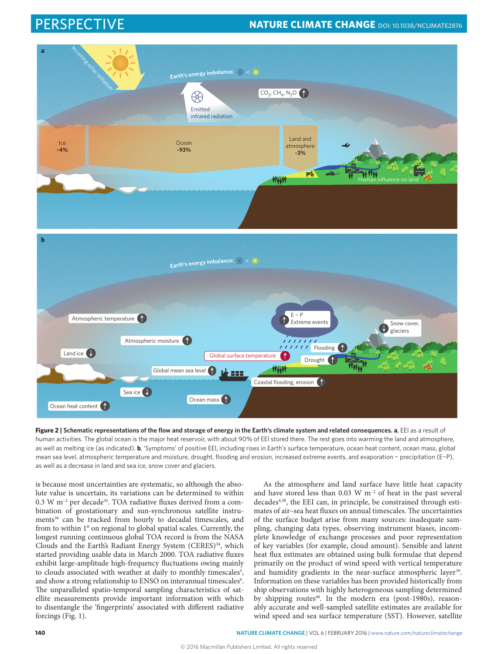

**Figure 2 | Schematic representations of the flow and storage of energy in the Earth's climate system and related consequences. a**, EEI as a result of human activities. The global ocean is the major heat reservoir, with about 90% of EEI stored there. The rest goes into warming the land and atmosphere, as well as melting ice (as indicated). **b**, 'Symptoms' of positive EEI, including rises in Earth's surface temperature, ocean heat content, ocean mass, global mean sea level, atmospheric temperature and moisture, drought, flooding and erosion, increased extreme events, and evaporation − precipitation (E−P), as well as a decrease in land and sea ice, snow cover and glaciers.

is because most uncertainties are systematic, so although the absolute value is uncertain, its variations can be determined to within 0.3 W m–2 per decade34. TOA radiative fluxes derived from a combination of geostationary and sun-synchronous satellite instruments<sup>36</sup> can be tracked from hourly to decadal timescales, and from to within 1° on regional to global spatial scales. Currently, the longest running continuous global TOA record is from the NASA Clouds and the Earth's Radiant Energy System (CERES)<sup>34</sup>, which started providing usable data in March 2000. TOA radiative fluxes exhibit large-amplitude high-frequency fluctuations owing mainly to clouds associated with weather at daily to monthly timescales<sup>5</sup>, and show a strong relationship to ENSO on interannual timescales<sup>6</sup>. The unparalleled spatio-temporal sampling characteristics of satellite measurements provide important information with which to disentangle the 'fingerprints' associated with different radiative forcings (Fig. 1).

As the atmosphere and land surface have little heat capacity and have stored less than  $0.03 \text{ W m}^{-2}$  of heat in the past several decades<sup>4,38</sup>, the EEI can, in principle, be constrained through estimates of air–sea heat fluxes on annual timescales. The uncertainties of the surface budget arise from many sources: inadequate sampling, changing data types, observing instrument biases, incomplete knowledge of exchange processes and poor representation of key variables (for example, cloud amount). Sensible and latent heat flux estimates are obtained using bulk formulae that depend primarily on the product of wind speed with vertical temperature and humidity gradients in the near-surface atmospheric layer<sup>39</sup>. Information on these variables has been provided historically from ship observations with highly heterogeneous sampling determined by shipping routes<sup>40</sup>. In the modern era (post-1980s), reasonably accurate and well-sampled satellite estimates are available for wind speed and sea surface temperature (SST). However, satellite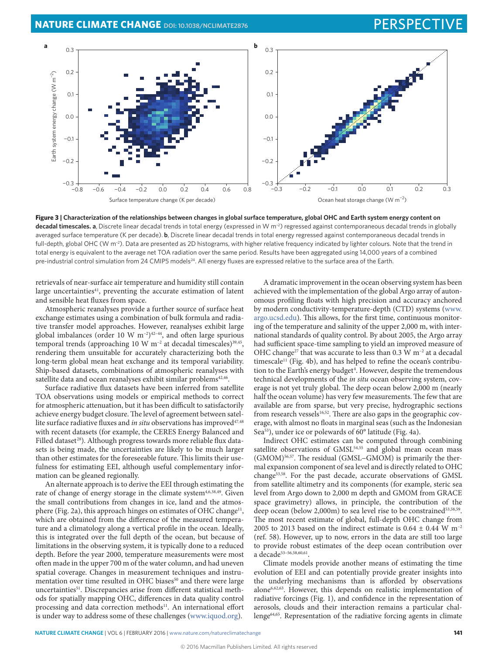

**Figure 3 | Characterization of the relationships between changes in global surface temperature, global OHC and Earth system energy content on decadal timescales. a**, Discrete linear decadal trends in total energy (expressed in W m–2) regressed against contemporaneous decadal trends in globally averaged surface temperature (K per decade). **b**, Discrete linear decadal trends in total energy regressed against contemporaneous decadal trends in full-depth, global OHC (W m<sup>-2</sup>). Data are presented as 2D histograms, with higher relative frequency indicated by lighter colours. Note that the trend in total energy is equivalent to the average net TOA radiation over the same period. Results have been aggregated using 14,000 years of a combined pre-industrial control simulation from 24 CMIP5 models<sup>24</sup>. All energy fluxes are expressed relative to the surface area of the Earth

retrievals of near-surface air temperature and humidity still contain large uncertainties<sup>41</sup>, preventing the accurate estimation of latent and sensible heat fluxes from space.

Atmospheric reanalyses provide a further source of surface heat exchange estimates using a combination of bulk formula and radiative transfer model approaches. However, reanalyses exhibit large global imbalances (order 10 W  $\text{m}^{-2}$ )<sup>42-44</sup>, and often large spurious temporal trends (approaching 10 W  $m^{-2}$  at decadal timescales)<sup>39,45</sup>, rendering them unsuitable for accurately characterizing both the long-term global mean heat exchange and its temporal variability. Ship-based datasets, combinations of atmospheric reanalyses with satellite data and ocean reanalyses exhibit similar problems<sup>42,46</sup>.

Surface radiative flux datasets have been inferred from satellite TOA observations using models or empirical methods to correct for atmospheric attenuation, but it has been difficult to satisfactorily achieve energy budget closure. The level of agreement between satellite surface radiative fluxes and *in situ* observations has improved<sup>47,48</sup> with recent datasets (for example, the CERES Energy Balanced and Filled dataset<sup>28</sup>). Although progress towards more reliable flux datasets is being made, the uncertainties are likely to be much larger than other estimates for the foreseeable future. This limits their usefulness for estimating EEI, although useful complementary information can be gleaned regionally.

An alternate approach is to derive the EEI through estimating the rate of change of energy storage in the climate system<sup>4,6,38,49</sup>. Given the small contributions from changes in ice, land and the atmosphere (Fig. 2a), this approach hinges on estimates of OHC change<sup>11</sup>, which are obtained from the difference of the measured temperature and a climatology along a vertical profile in the ocean. Ideally, this is integrated over the full depth of the ocean, but because of limitations in the observing system, it is typically done to a reduced depth. Before the year 2000, temperature measurements were most often made in the upper 700 m of the water column, and had uneven spatial coverage. Changes in measurement techniques and instrumentation over time resulted in OHC biases<sup>50</sup> and there were large uncertainties<sup>51</sup>. Discrepancies arise from different statistical methods for spatially mapping OHC, differences in data quality control processing and data correction methods<sup>11</sup>. An international effort is under way to address some of these challenges (www.iquod.org).

A dramatic improvement in the ocean observing system has been achieved with the implementation of the global Argo array of autonomous profiling floats with high precision and accuracy anchored by modern conductivity-temperature-depth (CTD) systems (www. argo.ucsd.edu). This allows, for the first time, continuous monitoring of the temperature and salinity of the upper 2,000 m, with international standards of quality control. By about 2005, the Argo array had sufficient space-time sampling to yield an improved measure of OHC change<sup>27</sup> that was accurate to less than 0.3 W  $m^{-2}$  at a decadal timescale<sup>11</sup> (Fig. 4b), and has helped to refine the ocean's contribution to the Earth's energy budget<sup>4</sup>. However, despite the tremendous technical developments of the *in situ* ocean observing system, coverage is not yet truly global. The deep ocean below 2,000 m (nearly half the ocean volume) has very few measurements. The few that are available are from sparse, but very precise, hydrographic sections from research vessels<sup>16,52</sup>. There are also gaps in the geographic coverage, with almost no floats in marginal seas (such as the Indonesian Sea<sup>53</sup>), under ice or polewards of 60° latitude (Fig. 4a).

Indirect OHC estimates can be computed through combining satellite observations of GMSL<sup>54,55</sup> and global mean ocean mass (GMOM)56,57. The residual (GMSL−GMOM) is primarily the thermal expansion component of sea level and is directly related to OHC change<sup>53,58</sup>. For the past decade, accurate observations of GMSL from satellite altimetry and its components (for example, steric sea level from Argo down to 2,000 m depth and GMOM from GRACE space gravimetry) allows, in principle, the contribution of the deep ocean (below 2,000m) to sea level rise to be constrained<sup>53,58,59</sup>. The most recent estimate of global, full-depth OHC change from 2005 to 2013 based on the indirect estimate is  $0.64 \pm 0.44$  W m<sup>-2</sup> (ref. 58). However, up to now, errors in the data are still too large to provide robust estimates of the deep ocean contribution over a decade<sup>53-56,58,60,61</sup>

Climate models provide another means of estimating the time evolution of EEI and can potentially provide greater insights into the underlying mechanisms than is afforded by observations alone6,62,63. However, this depends on realistic implementation of radiative forcings (Fig. 1), and confidence in the representation of aerosols, clouds and their interaction remains a particular challenge64,65. Representation of the radiative forcing agents in climate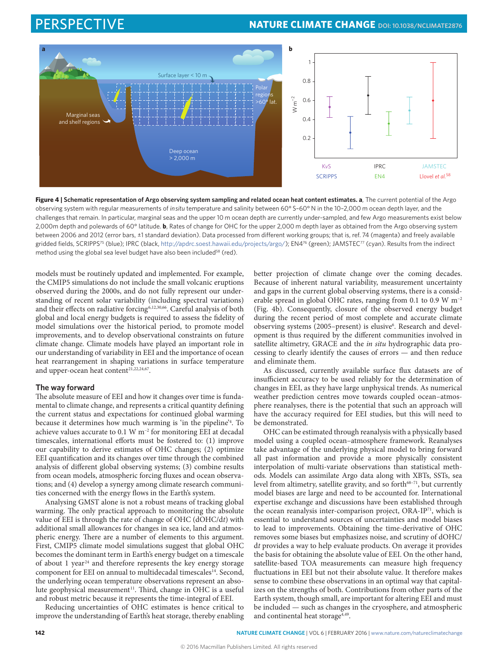

**Figure 4 | Schematic representation of Argo observing system sampling and related ocean heat content estimates. a**, The current potential of the Argo observing system with regular measurements of *in situ* temperature and salinity between 60° S–60° N in the 10–2,000 m ocean depth layer, and the challenges that remain. In particular, marginal seas and the upper 10 m ocean depth are currently under-sampled, and few Argo measurements exist below 2,000m depth and polewards of 60° latitude. **b**, Rates of change for OHC for the upper 2,000 m depth layer as obtained from the Argo observing system between 2006 and 2012 (error bars, ±1 standard deviation). Data processed from different working groups; that is, ref. 74 (magenta) and freely available gridded fields, SCRIPPS<sup>75</sup> (blue); IPRC (black, <http://apdrc.soest.hawaii.edu/projects/argo/>); EN4<sup>76</sup> (green); JAMSTEC<sup>77</sup> (cyan). Results from the indirect method using the global sea level budget have also been included<sup>58</sup> (red).

models must be routinely updated and implemented. For example, the CMIP5 simulations do not include the small volcanic eruptions observed during the 2000s, and do not fully represent our understanding of recent solar variability (including spectral variations) and their effects on radiative forcing6,12,30,66. Careful analysis of both global and local energy budgets is required to assess the fidelity of model simulations over the historical period, to promote model improvements, and to develop observational constraints on future climate change. Climate models have played an important role in our understanding of variability in EEI and the importance of ocean heat rearrangement in shaping variations in surface temperature and upper-ocean heat content<sup>21,22,24,67</sup>.

### **The way forward**

The absolute measure of EEI and how it changes over time is fundamental to climate change, and represents a critical quantity defining the current status and expectations for continued global warming because it determines how much warming is 'in the pipeline'4 . To achieve values accurate to 0.1 W m–2 for monitoring EEI at decadal timescales, international efforts must be fostered to: (1) improve our capability to derive estimates of OHC changes; (2) optimize EEI quantification and its changes over time through the combined analysis of different global observing systems; (3) combine results from ocean models, atmospheric forcing fluxes and ocean observations; and (4) develop a synergy among climate research communities concerned with the energy flows in the Earth's system.

Analysing GMST alone is not a robust means of tracking global warming. The only practical approach to monitoring the absolute value of EEI is through the rate of change of OHC (dOHC/d*t*) with additional small allowances for changes in sea ice, land and atmospheric energy. There are a number of elements to this argument. First, CMIP5 climate model simulations suggest that global OHC becomes the dominant term in Earth's energy budget on a timescale of about 1 year<sup>24</sup> and therefore represents the key energy storage component for EEI on annual to multidecadal timescales<sup>14</sup>. Second, the underlying ocean temperature observations represent an absolute geophysical measurement<sup>11</sup>. Third, change in OHC is a useful and robust metric because it represents the time-integral of EEI.

Reducing uncertainties of OHC estimates is hence critical to improve the understanding of Earth's heat storage, thereby enabling better projection of climate change over the coming decades. Because of inherent natural variability, measurement uncertainty and gaps in the current global observing systems, there is a considerable spread in global OHC rates, ranging from 0.1 to 0.9 W  $m^{-2}$ (Fig. 4b). Consequently, closure of the observed energy budget during the recent period of most complete and accurate climate observing systems (2005–present) is elusive<sup>6</sup>. Research and development is thus required by the different communities involved in satellite altimetry, GRACE and the *in situ* hydrographic data processing to clearly identify the causes of errors — and then reduce and eliminate them.

As discussed, currently available surface flux datasets are of insufficient accuracy to be used reliably for the determination of changes in EEI, as they have large unphysical trends. As numerical weather prediction centres move towards coupled ocean–atmosphere reanalyses, there is the potential that such an approach will have the accuracy required for EEI studies, but this will need to be demonstrated.

OHC can be estimated through reanalysis with a physically based model using a coupled ocean–atmosphere framework. Reanalyses take advantage of the underlying physical model to bring forward all past information and provide a more physically consistent interpolation of multi-variate observations than statistical methods. Models can assimilate Argo data along with XBTs, SSTs, sea level from altimetry, satellite gravity, and so forth $68-71$ , but currently model biases are large and need to be accounted for. International expertise exchange and discussions have been established through the ocean reanalysis inter-comparison project, ORA-IP71, which is essential to understand sources of uncertainties and model biases to lead to improvements. Obtaining the time-derivative of OHC removes some biases but emphasizes noise, and scrutiny of dOHC/ d*t* provides a way to help evaluate products. On average it provides the basis for obtaining the absolute value of EEI. On the other hand, satellite-based TOA measurements can measure high frequency fluctuations in EEI but not their absolute value. It therefore makes sense to combine these observations in an optimal way that capitalizes on the strengths of both. Contributions from other parts of the Earth system, though small, are important for altering EEI and must be included — such as changes in the cryosphere, and atmospheric and continental heat storage<sup>4,49</sup>.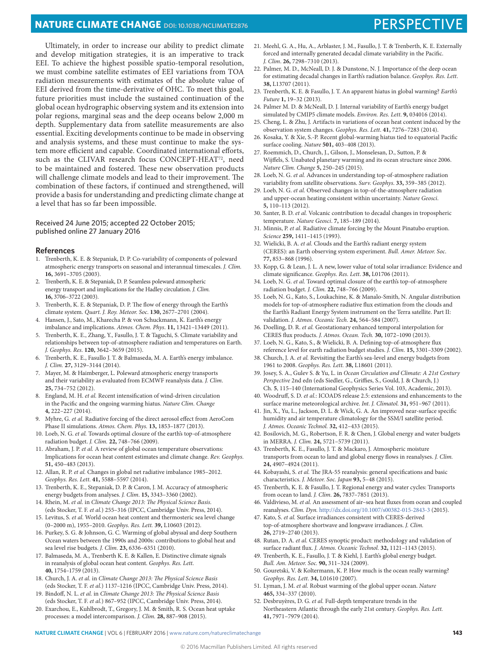# **NATURE CLIMATE CHANGE** [DOI: 10.1038/NCLIMATE2876](http://dx.doi.org/10.1038/nclimate2876) **PERSPECTIVE**

Ultimately, in order to increase our ability to predict climate and develop mitigation strategies, it is an imperative to track EEI. To achieve the highest possible spatio-temporal resolution, we must combine satellite estimates of EEI variations from TOA radiation measurements with estimates of the absolute value of EEI derived from the time-derivative of OHC. To meet this goal, future priorities must include the sustained continuation of the global ocean hydrographic observing system and its extension into polar regions, marginal seas and the deep oceans below 2,000 m depth. Supplementary data from satellite measurements are also essential. Exciting developments continue to be made in observing and analysis systems, and these must continue to make the system more efficient and capable. Coordinated international efforts, such as the CLIVAR research focus CONCEPT-HEAT<sup>72</sup>, need to be maintained and fostered. These new observation products will challenge climate models and lead to their improvement. The combination of these factors, if continued and strengthened, will provide a basis for understanding and predicting climate change at a level that has so far been impossible.

#### Received 24 June 2015; accepted 22 October 2015; published online 27 January 2016

#### **References**

- 1. Trenberth, K. E. & Stepaniak, D. P. Co-variability of components of poleward atmospheric energy transports on seasonal and interannual timescales. *J. Clim.* **16,** 3691–3705 (2003).
- 2. Trenberth, K. E. & Stepaniak, D. P. Seamless poleward atmospheric energy transport and implications for the Hadley circulation. *J. Clim.* **16,** 3706–3722 (2003).
- 3. Trenberth, K. E. & Stepaniak, D. P. The flow of energy through the Earth's climate system. *Quart. J. Roy. Meteor. Soc*. **130,** 2677–2701 (2004).
- Hansen, J., Sato, M., Kharecha P. & von Schuckmann, K. Earth's energy imbalance and implications. *Atmos. Chem. Phys*. **11,** 13421–13449 (2011).
- 5. Trenberth, K. E., Zhang, Y., Fasullo, J. T. & Taguchi, S. Climate variability and relationships between top-of-atmosphere radiation and temperatures on Earth. *J. Geophys. Res*. **120,** 3642–3659 (2015).
- 6. Trenberth, K. E., Fasullo J. T. & Balmaseda, M. A. Earth's energy imbalance. *J. Clim.* **27,** 3129–3144 (2014).
- 7. Mayer, M. & Haimberger, L. Poleward atmospheric energy transports and their variability as evaluated from ECMWF reanalysis data. *J. Clim*. **25,** 734–752 (2012).
- 8. England, M. H. *et al.* Recent intensification of wind-driven circulation in the Pacific and the ongoing warming hiatus. *Nature Clim. Change* **4,** 222–227 (2014).
- 9. Myhre, G. *et al.* Radiative forcing of the direct aerosol effect from AeroCom Phase II simulations. *Atmos. Chem. Phys.* **13,** 1853–1877 (2013).
- 10. Loeb, N. G. *et al.* Towards optimal closure of the earth's top-of-atmosphere radiation budget. *J. Clim.* **22,** 748–766 (2009).
- 11. Abraham, J. P. *et al.* A review of global ocean temperature observations: Implications for ocean heat content estimates and climate change. *Rev. Geophys.* **51,** 450–483 (2013).
- 12. Allan, R. P. *et al.* Changes in global net radiative imbalance 1985–2012. *Geophys. Res. Lett*. **41,** 5588–5597 (2014).
- 13. Trenberth, K. E., Stepaniak, D. P. & Caron, J. M. Accuracy of atmospheric energy budgets from analyses. *J. Clim*. **15,** 3343–3360 (2002).
- 14. Rhein, M. *et al.* in *Climate Change 2013: The Physical Science Basis.* (eds Stocker, T. F. *et al.*) 255–316 (IPCC, Cambridge Univ. Press, 2014).
- 15. Levitus, S. *et al.* World ocean heat content and thermosteric sea level change (0–2000 m), 1955–2010. *Geophys. Res. Lett.* **39,** L10603 (2012).
- 16. Purkey, S. G. & Johnson, G. C. Warming of global abyssal and deep Southern Ocean waters between the 1990s and 2000s: contributions to global heat and sea level rise budgets. *J. Clim.* **23,** 6336–6351 (2010).
- 17. Balmaseda, M. A., Trenberth K. E. & Kallen, E. Distinctive climate signals in reanalysis of global ocean heat content. *Geophys. Res. Lett*. **40,** 1754–1759 (2013).
- 18. Church, J. A. *et al.* in *Climate Change 2013: The Physical Science Basis* (eds Stocker, T. F. *et al.*) 1137–1216 (IPCC, Cambridge Univ. Press, 2014).
- 19. Bindoff, N. L. *et al.* in *Climate Change 2013: The Physical Science Basis* (eds Stocker, T. F. *et al.*) 867–952 (IPCC, Cambridge Univ. Press, 2014).
- 20. Exarchou, E., Kuhlbrodt, T., Gregory, J. M. & Smith, R. S. Ocean heat uptake processes: a model intercomparison. *J. Clim.* **28,** 887–908 (2015).
- 21. Meehl, G. A., Hu, A., Arblaster, J. M., Fasullo, J. T. & Trenberth, K. E. Externally forced and internally generated decadal climate variability in the Pacific. *J. Clim*. **26,** 7298–7310 (2013).
- 22. Palmer, M. D., McNeall, D. J. & Dunstone, N. J. Importance of the deep ocean for estimating decadal changes in Earth's radiation balance. *Geophys. Res. Lett*. **38,** L13707 (2011).
- 23. Trenberth, K. E. & Fasullo, J. T. An apparent hiatus in global warming? *Earth's Future* **1,** 19–32 (2013).
- 24. Palmer M. D. & McNeall, D. J. Internal variability of Earth's energy budget simulated by CMIP5 climate models. *Environ. Res. Lett*. **9,** 034016 (2014).
- 25. Cheng, L. & Zhu, J. Artifacts in variations of ocean heat content induced by the observation system changes. *Geophys. Res. Lett*. **41,** 7276–7283 (2014).
- 26. Kosaka, Y. & Xie, S.-P. Recent global-warming hiatus tied to equatorial Pacific surface cooling. *Nature* **501,** 403–408 (2013).
- 27. Roemmich, D., Church, J., Gilson, J., Monselesan, D., Sutton, P. & Wijffels, S. Unabated planetary warming and its ocean structure since 2006. *Nature Clim. Change* **5,** 250–245 (2015).
- 28. Loeb, N. G. *et al.* Advances in understanding top-of-atmosphere radiation variability from satellite observations. *Surv. Geophys*. **33,** 359–385 (2012).
- 29. Loeb, N. G. *et al.* Observed changes in top-of-the-atmosphere radiation and upper-ocean heating consistent within uncertainty. *Nature Geosci*. **5,** 110–113 (2012).
- 30. Santer, B. D. *et al.* Volcanic contribution to decadal changes in tropospheric temperature. *Nature Geosci*. **7,** 185–189 (2014).
- 31. Minnis, P. *et al.* Radiative climate forcing by the Mount Pinatubo eruption. *Science* **259,** 1411–1415 (1993).
- 32. Wielicki, B. A. *et al.* Clouds and the Earth's radiant energy system (CERES): an Earth observing system experiment. *Bull. Amer. Meteor. Soc*. **77,** 853–868 (1996).
- 33. Kopp, G. & Lean, J. L. A new, lower value of total solar irradiance: Evidence and climate significance. *Geophys. Res. Lett*. **38,** L01706 (2011).
- 34. Loeb, N. G. *et al.* Toward optimal closure of the earth's top-of-atmosphere radiation budget. *J. Clim.* **22,** 748–766 (2009).
- 35. Loeb, N. G., Kato, S., Loukachine, K. & Manalo-Smith, N. Angular distribution models for top-of-atmosphere radiative flux estimation from the clouds and the Earth's Radiant Energy System instrument on the Terra satellite. Part II: validation. *J. Atmos. Oceanic Tech.* **24,** 564–584 (2007).
- 36. Doelling, D. R. *et al.* Geostationary enhanced temporal interpolation for CERES flux products. *J. Atmos. Ocean. Tech.* **30,** 1072–1090 (2013).
- 37. Loeb, N. G., Kato, S., & Wielicki, B. A. Defining top-of-atmosphere flux reference level for earth radiation budget studies. *J. Clim.* **15,** 3301–3309 (2002).
- 38. Church, J. A. *et al.* Revisiting the Earth's sea-level and energy budgets from 1961 to 2008. *Geophys. Res. Lett.* **38,** L18601 (2011).
- 39. Josey, S. A., Gulev S. & Yu, L. in *Ocean Circulation and Climate: A 21st Century Perspective* 2nd edn (eds Siedler, G., Griffies, S., Gould, J. & Church, J.) Ch. **5**, 115–140 (International Geophysics Series Vol. 103, Academic, 2013).
- 40. Woodruff, S. D. *et al.*: ICOADS release 2.5: extensions and enhancements to the surface marine meteorological archive. *Int. J. Climatol.* **31,** 951–967 (2011).
- 41. Jin, X., Yu, L., Jackson, D. L. & Wick, G. A. An improved near-surface specific humidity and air temperature climatology for the SSM/I satellite period. *J. Atmos. Oceanic Technol.* **32,** 412–433 (2015).
- 42. Bosilovich, M. G., Robertson, F. R. & Chen, J. Global energy and water budgets in MERRA. *J. Clim.* **24,** 5721–5739 (2011).
- 43. Trenberth, K. E., Fasullo, J. T. & Mackaro, J. Atmospheric moisture transports from ocean to land and global energy flows in reanalyses. *J. Clim.* **24,** 4907–4924 (2011).
- 44. Kobayashi, S. *et al.* The JRA-55 reanalysis: general specifications and basic characteristics. *J. Meteor. Soc. Japan* **93,** 5–48 (2015).
- 45. Trenberth, K. E. & Fasullo, J. T. Regional energy and water cycles: Transports from ocean to land. *J. Clim*. **26,** 7837–7851 (2013).
- 46. Valdivieso, M. *et al.* An assessment of air–sea heat fluxes from ocean and coupled reanalyses. *Clim. Dyn.* http://dx.doi.org/10.1007/s00382-015-2843-3 (2015).
- 47. Kato, S. *et al.* Surface irradiances consistent with CERES-derived top-of-atmosphere shortwave and longwave irradiances. *J. Clim.* **26,** 2719–2740 (2013).
- 48. Rutan, D. A. *et al.* CERES synoptic product: methodology and validation of surface radiant flux. *J. Atmos. Oceanic Technol.* **32,** 1121–1143 (2015).
- 49. Trenberth, K. E., Fasullo, J. T. & Kiehl, J. Earth's global energy budget. *Bull. Am. Meteor. Soc.* **90,** 311–324 (2009).
- 50. Gouretski, V. & Koltermann, K. P. How much is the ocean really warming? *Geophys. Res. Lett*. **34,** L01610 (2007).
- 51. Lyman, J. M. *et al.* Robust warming of the global upper ocean. *Nature* **465,** 334–337 (2010).
- 52. Desbruyères, D. G. *et al.* Full-depth temperature trends in the Northeastern Atlantic through the early 21st century. *Geophys. Res. Lett.* **41,** 7971–7979 (2014).